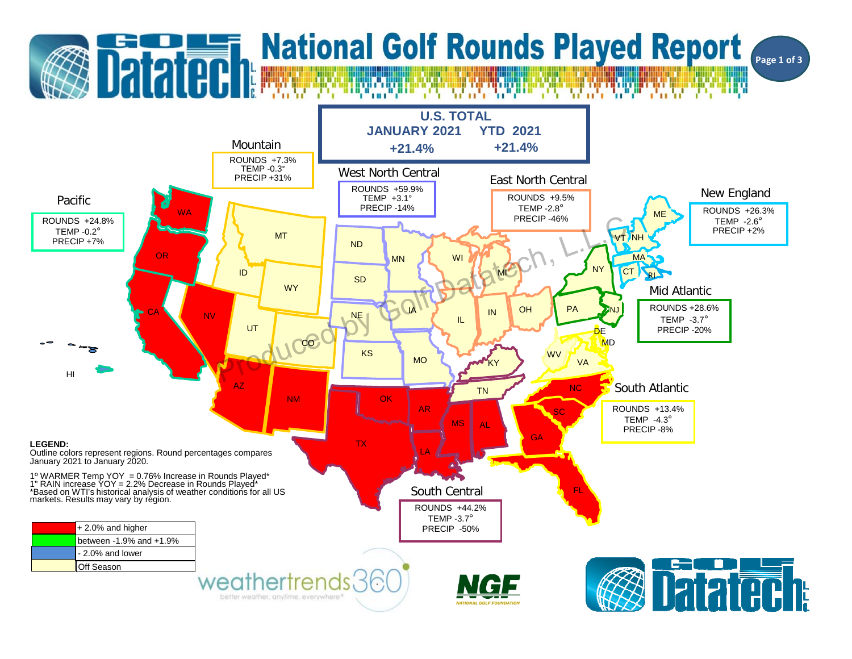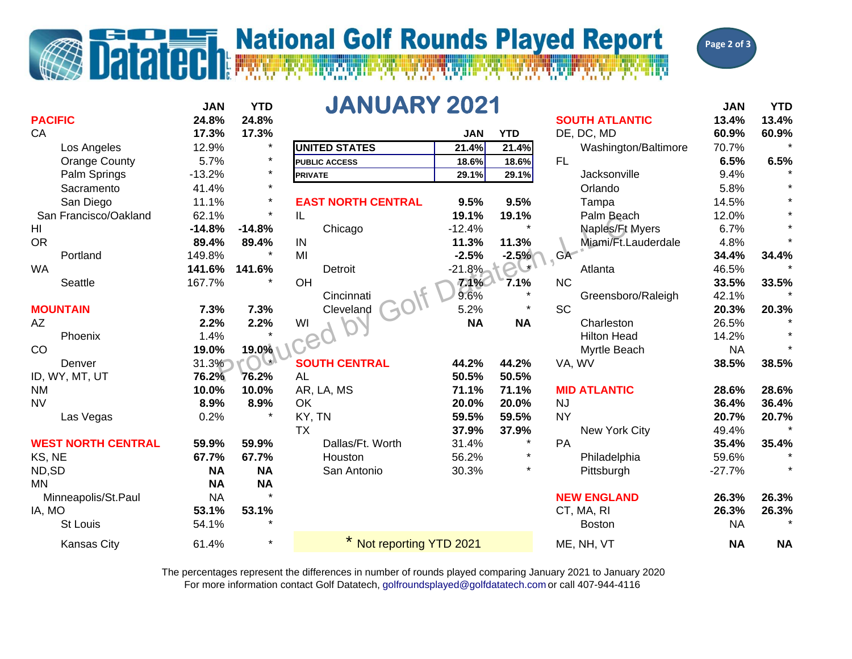## **T. National Golf Rounds Played Report**

Datated



|                           | <b>JAN</b> | <b>YTD</b> | <b>JANUARY 2021</b>       |            |            |                       | <b>JAN</b> | <b>YTD</b> |
|---------------------------|------------|------------|---------------------------|------------|------------|-----------------------|------------|------------|
| <b>PACIFIC</b>            | 24.8%      | 24.8%      |                           |            |            | <b>SOUTH ATLANTIC</b> | 13.4%      | 13.4%      |
| CA                        | 17.3%      | 17.3%      |                           | <b>JAN</b> | <b>YTD</b> | DE, DC, MD            | 60.9%      | 60.9%      |
| Los Angeles               | 12.9%      | $\star$    | <b>UNITED STATES</b>      | 21.4%      | 21.4%      | Washington/Baltimore  | 70.7%      |            |
| <b>Orange County</b>      | 5.7%       | $\star$    | <b>PUBLIC ACCESS</b>      | 18.6%      | 18.6%      | <b>FL</b>             | 6.5%       | 6.5%       |
| Palm Springs              | $-13.2%$   | $\star$    | <b>PRIVATE</b>            | 29.1%      | 29.1%      | Jacksonville          | 9.4%       |            |
| Sacramento                | 41.4%      | $\star$    |                           |            |            | Orlando               | 5.8%       |            |
| San Diego                 | 11.1%      | $\star$    | <b>EAST NORTH CENTRAL</b> | 9.5%       | 9.5%       | Tampa                 | 14.5%      |            |
| San Francisco/Oakland     | 62.1%      | $\star$    | IL                        | 19.1%      | 19.1%      | Palm Beach            | 12.0%      |            |
| HI                        | $-14.8%$   | $-14.8%$   | Chicago                   | $-12.4%$   |            | Naples/Ft Myers       | 6.7%       |            |
| <b>OR</b>                 | 89.4%      | 89.4%      | IN                        | 11.3%      | 11.3%      | Miami/Ft.Lauderdale   | 4.8%       |            |
| Portland                  | 149.8%     |            | MI                        | $-2.5%$    | $-2.5%$    | <b>GA</b>             | 34.4%      | 34.4%      |
| <b>WA</b>                 | 141.6%     | 141.6%     | Detroit                   | $-21.8%$   | $\star$    | Atlanta               | 46.5%      |            |
| Seattle                   | 167.7%     |            | OH                        | 7.1%       | 7.1%       | <b>NC</b>             | 33.5%      | 33.5%      |
|                           |            |            | Cincinnati                | 9.6%       |            | Greensboro/Raleigh    | 42.1%      |            |
| <b>MOUNTAIN</b>           | 7.3%       | 7.3%       | Cleveland                 | 5.2%       |            | <b>SC</b>             | 20.3%      | 20.3%      |
| AZ                        | 2.2%       | 2.2%       | WI                        | <b>NA</b>  | <b>NA</b>  | Charleston            | 26.5%      |            |
| Phoenix                   | 1.4%       |            |                           |            |            | <b>Hilton Head</b>    | 14.2%      |            |
| CO                        | 19.0%      | 19.0%      |                           |            |            | Myrtle Beach          | <b>NA</b>  |            |
| Denver                    | 31.3%      | $\star$    | <b>SOUTH CENTRAL</b>      | 44.2%      | 44.2%      | VA, WV                | 38.5%      | 38.5%      |
| ID, WY, MT, UT            | 76.2%      | 76.2%      | AL                        | 50.5%      | 50.5%      |                       |            |            |
| <b>NM</b>                 | 10.0%      | 10.0%      | AR, LA, MS                | 71.1%      | 71.1%      | <b>MID ATLANTIC</b>   | 28.6%      | 28.6%      |
| <b>NV</b>                 | 8.9%       | 8.9%       | OK                        | 20.0%      | 20.0%      | <b>NJ</b>             | 36.4%      | 36.4%      |
| Las Vegas                 | 0.2%       |            | KY, TN                    | 59.5%      | 59.5%      | <b>NY</b>             | 20.7%      | 20.7%      |
|                           |            |            | <b>TX</b>                 | 37.9%      | 37.9%      | New York City         | 49.4%      |            |
| <b>WEST NORTH CENTRAL</b> | 59.9%      | 59.9%      | Dallas/Ft. Worth          | 31.4%      | $\star$    | PA                    | 35.4%      | 35.4%      |
| KS, NE                    | 67.7%      | 67.7%      | Houston                   | 56.2%      | $\star$    | Philadelphia          | 59.6%      |            |
| ND,SD                     | <b>NA</b>  | <b>NA</b>  | San Antonio               | 30.3%      | $\star$    | Pittsburgh            | $-27.7%$   |            |
| <b>MN</b>                 | <b>NA</b>  | <b>NA</b>  |                           |            |            |                       |            |            |
| Minneapolis/St.Paul       | <b>NA</b>  |            |                           |            |            | <b>NEW ENGLAND</b>    | 26.3%      | 26.3%      |
| IA, MO                    | 53.1%      | 53.1%      |                           |            |            | CT, MA, RI            | 26.3%      | 26.3%      |
| <b>St Louis</b>           | 54.1%      |            |                           |            |            | <b>Boston</b>         | <b>NA</b>  |            |
| <b>Kansas City</b>        | 61.4%      | $\star$    | Not reporting YTD 2021    |            |            | ME, NH, VT            | <b>NA</b>  | <b>NA</b>  |

For more information contact Golf Datatech, golfroundsplayed@golfdatatech.com or call 407-944-4116 The percentages represent the differences in number of rounds played comparing January 2021 to January 2020